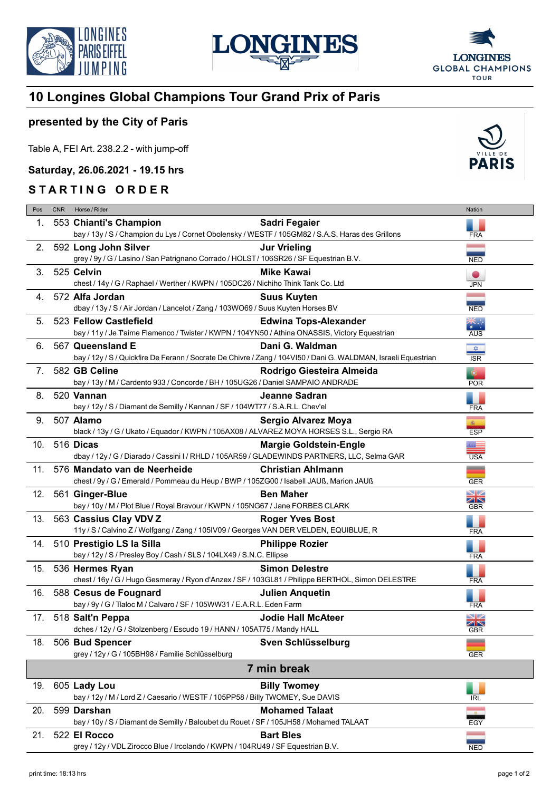





## **10 Longines Global Champions Tour Grand Prix of Paris**

## **presented by the City of Paris**

Table A, FEI Art. 238.2.2 - with jump-off

**Saturday, 26.06.2021 - 19.15 hrs**

## **STARTING ORDER**

| Pos         | <b>CNR</b> | Horse / Rider                                                                                                  |                               | Nation            |  |  |
|-------------|------------|----------------------------------------------------------------------------------------------------------------|-------------------------------|-------------------|--|--|
| 1.          |            | 553 Chianti's Champion                                                                                         | Sadri Fegaier                 |                   |  |  |
|             |            | bay / 13y / S / Champion du Lys / Cornet Obolensky / WESTF / 105GM82 / S.A.S. Haras des Grillons               |                               | <b>FRA</b>        |  |  |
| 2.          |            | 592 Long John Silver                                                                                           | <b>Jur Vrieling</b>           |                   |  |  |
|             |            | grey / 9y / G / Lasino / San Patrignano Corrado / HOLST / 106SR26 / SF Equestrian B.V.                         |                               | <b>NED</b>        |  |  |
| 3.          |            | 525 Celvin                                                                                                     | <b>Mike Kawai</b>             | $\bullet$         |  |  |
|             |            | chest / 14y / G / Raphael / Werther / KWPN / 105DC26 / Nichiho Think Tank Co. Ltd                              |                               | <b>JPN</b>        |  |  |
| 4.          |            | 572 Alfa Jordan                                                                                                | <b>Suus Kuyten</b>            |                   |  |  |
|             |            | dbay / 13y / S / Air Jordan / Lancelot / Zang / 103WO69 / Suus Kuyten Horses BV                                |                               | <b>NED</b>        |  |  |
| 5.          |            | 523 Fellow Castlefield                                                                                         | <b>Edwina Tops-Alexander</b>  |                   |  |  |
|             |            | bay / 11y / Je Taime Flamenco / Twister / KWPN / 104YN50 / Athina ONASSIS, Victory Equestrian                  |                               | <b>AUS</b>        |  |  |
| 6.          |            | 567 Queensland E                                                                                               | Dani G. Waldman               | $\frac{1}{2}$     |  |  |
|             |            | bay / 12y / S / Quickfire De Ferann / Socrate De Chivre / Zang / 104VI50 / Dani G. WALDMAN, Israeli Equestrian |                               | <b>ISR</b>        |  |  |
| 7.          |            | 582 GB Celine                                                                                                  | Rodrigo Giesteira Almeida     | $\bullet$         |  |  |
|             |            | bay / 13y / M / Cardento 933 / Concorde / BH / 105UG26 / Daniel SAMPAIO ANDRADE                                |                               | <b>POR</b>        |  |  |
| 8.          |            | 520 Vannan                                                                                                     | Jeanne Sadran                 |                   |  |  |
|             |            | bay / 12y / S / Diamant de Semilly / Kannan / SF / 104WT77 / S.A.R.L. Chev'el                                  |                               | <b>FRA</b>        |  |  |
| 9.          |            | 507 Alamo                                                                                                      | <b>Sergio Alvarez Moya</b>    |                   |  |  |
|             |            | black / 13y / G / Ukato / Equador / KWPN / 105AX08 / ALVAREZ MOYA HORSES S.L., Sergio RA                       |                               | 率<br>ESP          |  |  |
|             |            | 10. 516 Dicas                                                                                                  | <b>Margie Goldstein-Engle</b> | ▓▆                |  |  |
|             |            | dbay / 12y / G / Diarado / Cassini I / RHLD / 105AR59 / GLADEWINDS PARTNERS, LLC, Selma GAR                    |                               | <b>USA</b>        |  |  |
| 11.         |            | 576 Mandato van de Neerheide                                                                                   | <b>Christian Ahlmann</b>      | =                 |  |  |
|             |            | chest / 9y / G / Emerald / Pommeau du Heup / BWP / 105ZG00 / Isabell JAUß, Marion JAUß                         |                               | <b>GER</b>        |  |  |
| 12.         |            | 561 Ginger-Blue                                                                                                | <b>Ben Maher</b>              | XK                |  |  |
|             |            | bay / 10y / M / Plot Blue / Royal Bravour / KWPN / 105NG67 / Jane FORBES CLARK                                 |                               | GBR               |  |  |
| 13.         |            | 563 Cassius Clay VDV Z                                                                                         | <b>Roger Yves Bost</b>        |                   |  |  |
|             |            | 11y / S / Calvino Z / Wolfgang / Zang / 105IV09 / Georges VAN DER VELDEN, EQUIBLUE, R                          |                               | <b>FRA</b>        |  |  |
|             |            | 14. 510 Prestigio LS la Silla                                                                                  | <b>Philippe Rozier</b>        |                   |  |  |
|             |            | bay / 12y / S / Presley Boy / Cash / SLS / 104LX49 / S.N.C. Ellipse                                            |                               | <b>FRA</b>        |  |  |
| 15.         |            | 536 Hermes Ryan                                                                                                | <b>Simon Delestre</b>         | ı.                |  |  |
|             |            | chest / 16y / G / Hugo Gesmeray / Ryon d'Anzex / SF / 103GL81 / Philippe BERTHOL, Simon DELESTRE               |                               | <b>FRA</b>        |  |  |
| 16.         |            | 588 Cesus de Fougnard                                                                                          | <b>Julien Anguetin</b>        |                   |  |  |
|             |            | bay / 9y / G / Tlaloc M / Calvaro / SF / 105WW31 / E.A.R.L. Eden Farm                                          |                               | <b>FRA</b>        |  |  |
|             |            | 17. 518 Salt'n Peppa                                                                                           | <b>Jodie Hall McAteer</b>     | $\square$ z<br>ZN |  |  |
|             |            | dches / 12y / G / Stolzenberg / Escudo 19 / HANN / 105AT75 / Mandy HALL                                        |                               | <b>GBR</b>        |  |  |
| 18.         |            | 506 Bud Spencer                                                                                                | Sven Schlüsselburg            | __                |  |  |
|             |            | grey / 12y / G / 105BH98 / Familie Schlüsselburg                                                               |                               | GER               |  |  |
| 7 min break |            |                                                                                                                |                               |                   |  |  |
| 19.         |            | 605 Lady Lou                                                                                                   | <b>Billy Twomey</b>           |                   |  |  |
|             |            | bay / 12y / M / Lord Z / Caesario / WESTF / 105PP58 / Billy TWOMEY, Sue DAVIS                                  |                               | IRL               |  |  |
| 20.         |            | 599 Darshan                                                                                                    | <b>Mohamed Talaat</b>         |                   |  |  |
|             |            | bay / 10y / S / Diamant de Semilly / Baloubet du Rouet / SF / 105JH58 / Mohamed TALAAT                         |                               | EGY               |  |  |
| 21.         |            | 522 El Rocco                                                                                                   | <b>Bart Bles</b>              |                   |  |  |

grey / 12y / VDL Zirocco Blue / Ircolando / KWPN / 104RU49 / SF Equestrian B.V.

NED<sup></sup>